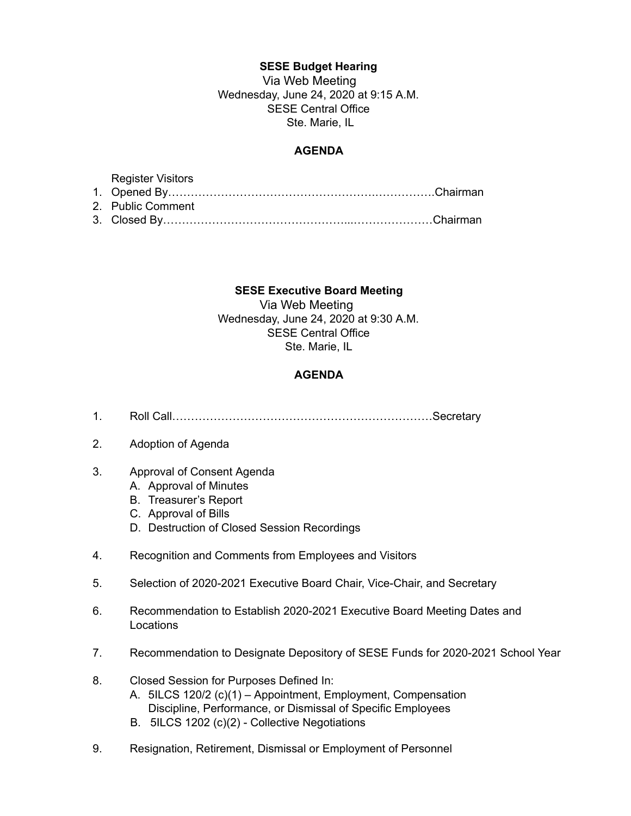## **SESE Budget Hearing**

Via Web Meeting Wednesday, June 24, 2020 at 9:15 A.M. SESE Central Office Ste. Marie, IL

## **AGENDA**

| <b>Register Visitors</b> |  |
|--------------------------|--|
|                          |  |
| 2. Public Comment        |  |
|                          |  |

## **SESE Executive Board Meeting**

Via Web Meeting Wednesday, June 24, 2020 at 9:30 A.M. SESE Central Office Ste. Marie, IL

## **AGENDA**

- 1. Roll Call……………………………………………………………Secretary
- 2. Adoption of Agenda
- 3. Approval of Consent Agenda
	- A. Approval of Minutes
	- B. Treasurer's Report
	- C. Approval of Bills
	- D. Destruction of Closed Session Recordings
- 4. Recognition and Comments from Employees and Visitors
- 5. Selection of 2020-2021 Executive Board Chair, Vice-Chair, and Secretary
- 6. Recommendation to Establish 2020-2021 Executive Board Meeting Dates and **Locations**
- 7. Recommendation to Designate Depository of SESE Funds for 2020-2021 School Year
- 8. Closed Session for Purposes Defined In:
	- A. 5ILCS 120/2 (c)(1) Appointment, Employment, Compensation Discipline, Performance, or Dismissal of Specific Employees
	- B. 5ILCS 1202 (c)(2) Collective Negotiations
- 9. Resignation, Retirement, Dismissal or Employment of Personnel